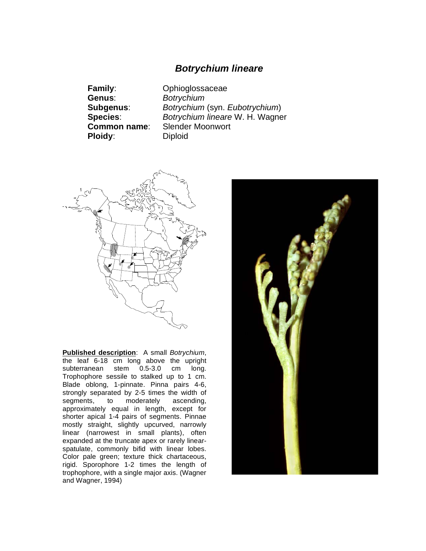## *Botrychium lineare*

**Genus**: *Botrychium* **Ploidy:** Diploid

**Family**: Ophioglossaceae **Subgenus**: *Botrychium* (syn. *Eubotrychium*) **Species**: *Botrychium lineare* W. H. Wagner **Common name**: Slender Moonwort



**Published description**: A small *Botrychium*, the leaf 6-18 cm long above the upright<br>subterranean stem 0.5-3.0 cm long.  $subternation$  stem  $0.5-3.0$  cm Trophophore sessile to stalked up to 1 cm. Blade oblong, 1-pinnate. Pinna pairs 4-6, strongly separated by 2-5 times the width of segments, to moderately ascending, approximately equal in length, except for shorter apical 1-4 pairs of segments. Pinnae mostly straight, slightly upcurved, narrowly linear (narrowest in small plants), often expanded at the truncate apex or rarely linearspatulate, commonly bifid with linear lobes. Color pale green; texture thick chartaceous, rigid. Sporophore 1-2 times the length of trophophore, with a single major axis. (Wagner and Wagner, 1994)

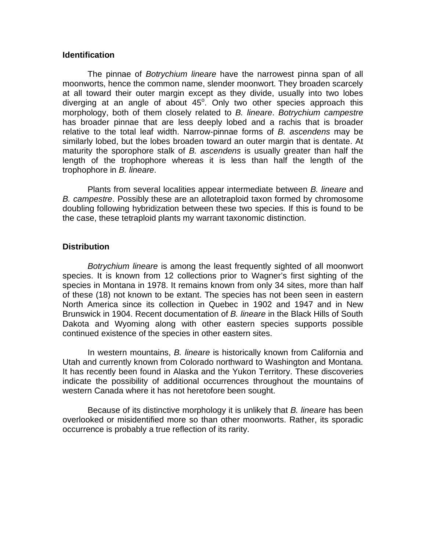## **Identification**

 The pinnae of *Botrychium lineare* have the narrowest pinna span of all moonworts, hence the common name, slender moonwort. They broaden scarcely at all toward their outer margin except as they divide, usually into two lobes diverging at an angle of about  $45^\circ$ . Only two other species approach this morphology, both of them closely related to *B. lineare*. *Botrychium campestre* has broader pinnae that are less deeply lobed and a rachis that is broader relative to the total leaf width. Narrow-pinnae forms of *B. ascendens* may be similarly lobed, but the lobes broaden toward an outer margin that is dentate. At maturity the sporophore stalk of *B. ascendens* is usually greater than half the length of the trophophore whereas it is less than half the length of the trophophore in *B. lineare*.

Plants from several localities appear intermediate between *B. lineare* and *B. campestre*. Possibly these are an allotetraploid taxon formed by chromosome doubling following hybridization between these two species. If this is found to be the case, these tetraploid plants my warrant taxonomic distinction.

## **Distribution**

*Botrychium lineare* is among the least frequently sighted of all moonwort species. It is known from 12 collections prior to Wagner's first sighting of the species in Montana in 1978. It remains known from only 34 sites, more than half of these (18) not known to be extant. The species has not been seen in eastern North America since its collection in Quebec in 1902 and 1947 and in New Brunswick in 1904. Recent documentation of *B. lineare* in the Black Hills of South Dakota and Wyoming along with other eastern species supports possible continued existence of the species in other eastern sites.

In western mountains, *B. lineare* is historically known from California and Utah and currently known from Colorado northward to Washington and Montana. It has recently been found in Alaska and the Yukon Territory. These discoveries indicate the possibility of additional occurrences throughout the mountains of western Canada where it has not heretofore been sought.

Because of its distinctive morphology it is unlikely that *B. lineare* has been overlooked or misidentified more so than other moonworts. Rather, its sporadic occurrence is probably a true reflection of its rarity.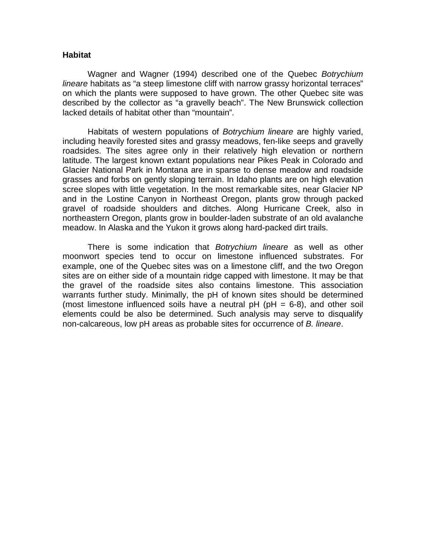## **Habitat**

 Wagner and Wagner (1994) described one of the Quebec *Botrychium lineare* habitats as "a steep limestone cliff with narrow grassy horizontal terraces" on which the plants were supposed to have grown. The other Quebec site was described by the collector as "a gravelly beach". The New Brunswick collection lacked details of habitat other than "mountain".

 Habitats of western populations of *Botrychium lineare* are highly varied, including heavily forested sites and grassy meadows, fen-like seeps and gravelly roadsides. The sites agree only in their relatively high elevation or northern latitude. The largest known extant populations near Pikes Peak in Colorado and Glacier National Park in Montana are in sparse to dense meadow and roadside grasses and forbs on gently sloping terrain. In Idaho plants are on high elevation scree slopes with little vegetation. In the most remarkable sites, near Glacier NP and in the Lostine Canyon in Northeast Oregon, plants grow through packed gravel of roadside shoulders and ditches. Along Hurricane Creek, also in northeastern Oregon, plants grow in boulder-laden substrate of an old avalanche meadow. In Alaska and the Yukon it grows along hard-packed dirt trails.

 There is some indication that *Botrychium lineare* as well as other moonwort species tend to occur on limestone influenced substrates. For example, one of the Quebec sites was on a limestone cliff, and the two Oregon sites are on either side of a mountain ridge capped with limestone. It may be that the gravel of the roadside sites also contains limestone. This association warrants further study. Minimally, the pH of known sites should be determined (most limestone influenced soils have a neutral  $pH (pH = 6-8)$ , and other soil elements could be also be determined. Such analysis may serve to disqualify non-calcareous, low pH areas as probable sites for occurrence of *B. lineare*.